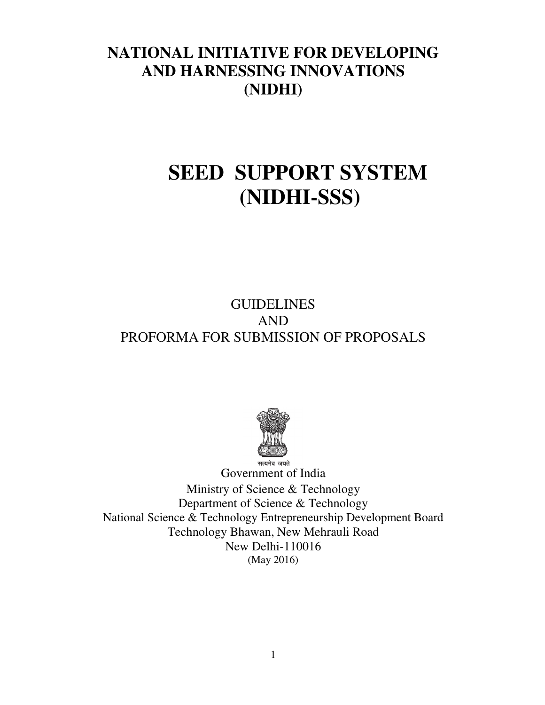# **NATIONAL INITIATIVE FOR DEVELOPING AND HARNESSING INNOVATIONS (NIDHI)**

# **SEED SUPPORT SYSTEM (NIDHI-SSS)**

# **GUIDELINES** AND PROFORMA FOR SUBMISSION OF PROPOSALS



Government of India Ministry of Science & Technology Department of Science & Technology National Science & Technology Entrepreneurship Development Board Technology Bhawan, New Mehrauli Road New Delhi-110016 (May 2016)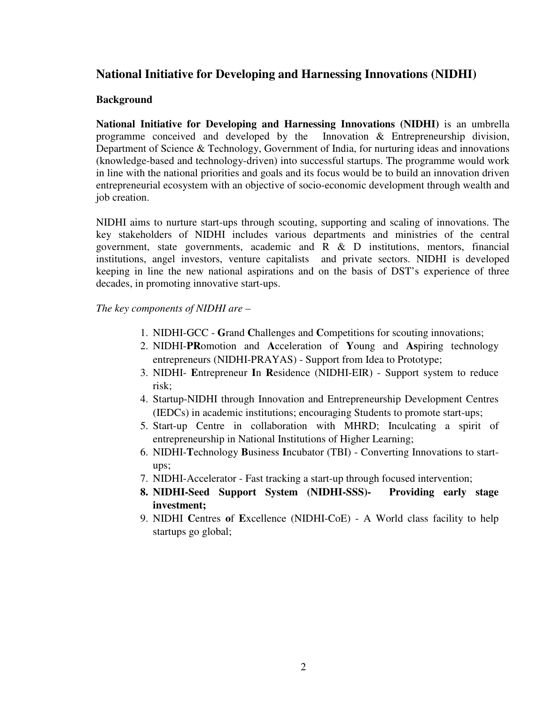### **National Initiative for Developing and Harnessing Innovations (NIDHI)**

#### **Background**

**National Initiative for Developing and Harnessing Innovations (NIDHI)** is an umbrella programme conceived and developed by the Innovation & Entrepreneurship division, Department of Science & Technology, Government of India, for nurturing ideas and innovations (knowledge-based and technology-driven) into successful startups. The programme would work in line with the national priorities and goals and its focus would be to build an innovation driven entrepreneurial ecosystem with an objective of socio-economic development through wealth and job creation.

NIDHI aims to nurture start-ups through scouting, supporting and scaling of innovations. The key stakeholders of NIDHI includes various departments and ministries of the central government, state governments, academic and R & D institutions, mentors, financial institutions, angel investors, venture capitalists and private sectors. NIDHI is developed keeping in line the new national aspirations and on the basis of DST's experience of three decades, in promoting innovative start-ups.

*The key components of NIDHI are –* 

- 1. NIDHI-GCC **G**rand **C**hallenges and **C**ompetitions for scouting innovations;
- 2. NIDHI-**PR**omotion and **A**cceleration of **Y**oung and **As**piring technology entrepreneurs (NIDHI-PRAYAS) - Support from Idea to Prototype;
- 3. NIDHI- **E**ntrepreneur **I**n **R**esidence (NIDHI-EIR) Support system to reduce risk;
- 4. Startup-NIDHI through Innovation and Entrepreneurship Development Centres (IEDCs) in academic institutions; encouraging Students to promote start-ups;
- 5. Start-up Centre in collaboration with MHRD; Inculcating a spirit of entrepreneurship in National Institutions of Higher Learning;
- 6. NIDHI-**T**echnology **B**usiness **I**ncubator (TBI) Converting Innovations to startups;
- 7. NIDHI-Accelerator Fast tracking a start-up through focused intervention;
- **8. NIDHI-Seed Support System (NIDHI-SSS)- Providing early stage investment;**
- 9. NIDHI **C**entres **o**f **E**xcellence (NIDHI-CoE) A World class facility to help startups go global;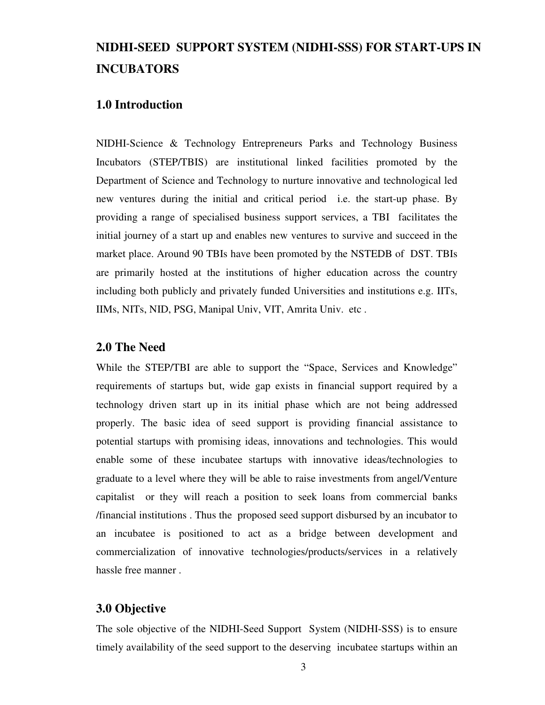# **NIDHI-SEED SUPPORT SYSTEM (NIDHI-SSS) FOR START-UPS IN INCUBATORS**

### **1.0 Introduction**

NIDHI-Science & Technology Entrepreneurs Parks and Technology Business Incubators (STEP/TBIS) are institutional linked facilities promoted by the Department of Science and Technology to nurture innovative and technological led new ventures during the initial and critical period i.e. the start-up phase. By providing a range of specialised business support services, a TBI facilitates the initial journey of a start up and enables new ventures to survive and succeed in the market place. Around 90 TBIs have been promoted by the NSTEDB of DST. TBIs are primarily hosted at the institutions of higher education across the country including both publicly and privately funded Universities and institutions e.g. IITs, IIMs, NITs, NID, PSG, Manipal Univ, VIT, Amrita Univ. etc .

#### **2.0 The Need**

While the STEP/TBI are able to support the "Space, Services and Knowledge" requirements of startups but, wide gap exists in financial support required by a technology driven start up in its initial phase which are not being addressed properly. The basic idea of seed support is providing financial assistance to potential startups with promising ideas, innovations and technologies. This would enable some of these incubatee startups with innovative ideas/technologies to graduate to a level where they will be able to raise investments from angel/Venture capitalist or they will reach a position to seek loans from commercial banks /financial institutions . Thus the proposed seed support disbursed by an incubator to an incubatee is positioned to act as a bridge between development and commercialization of innovative technologies/products/services in a relatively hassle free manner .

#### **3.0 Objective**

The sole objective of the NIDHI-Seed Support System (NIDHI-SSS) is to ensure timely availability of the seed support to the deserving incubatee startups within an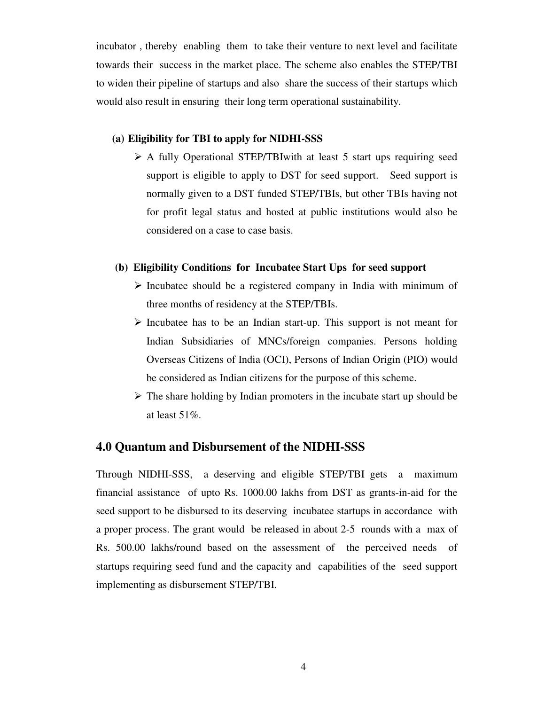incubator , thereby enabling them to take their venture to next level and facilitate towards their success in the market place. The scheme also enables the STEP/TBI to widen their pipeline of startups and also share the success of their startups which would also result in ensuring their long term operational sustainability.

#### **(a) Eligibility for TBI to apply for NIDHI-SSS**

 A fully Operational STEP/TBIwith at least 5 start ups requiring seed support is eligible to apply to DST for seed support. Seed support is normally given to a DST funded STEP/TBIs, but other TBIs having not for profit legal status and hosted at public institutions would also be considered on a case to case basis.

#### **(b) Eligibility Conditions for Incubatee Start Ups for seed support**

- $\triangleright$  Incubatee should be a registered company in India with minimum of three months of residency at the STEP/TBIs.
- $\triangleright$  Incubatee has to be an Indian start-up. This support is not meant for Indian Subsidiaries of MNCs/foreign companies. Persons holding Overseas Citizens of India (OCI), Persons of Indian Origin (PIO) would be considered as Indian citizens for the purpose of this scheme.
- $\triangleright$  The share holding by Indian promoters in the incubate start up should be at least 51%.

### **4.0 Quantum and Disbursement of the NIDHI-SSS**

Through NIDHI-SSS, a deserving and eligible STEP/TBI gets a maximum financial assistance of upto Rs. 1000.00 lakhs from DST as grants-in-aid for the seed support to be disbursed to its deserving incubatee startups in accordance with a proper process. The grant would be released in about 2-5 rounds with a max of Rs. 500.00 lakhs/round based on the assessment of the perceived needs of startups requiring seed fund and the capacity and capabilities of the seed support implementing as disbursement STEP/TBI.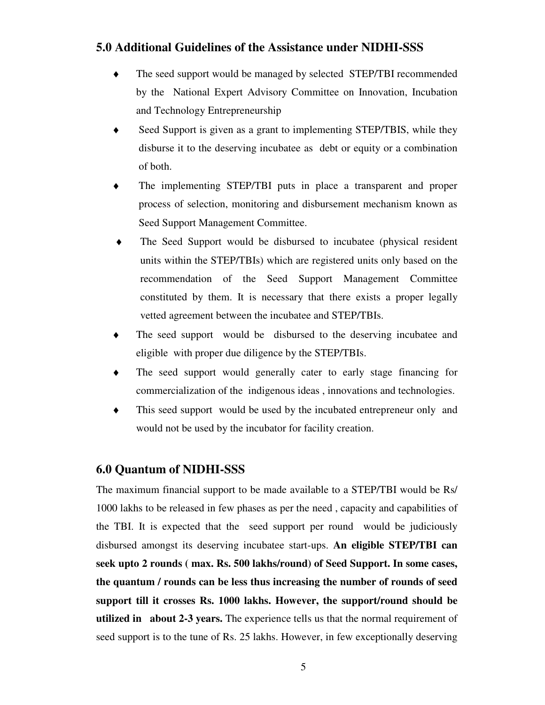### **5.0 Additional Guidelines of the Assistance under NIDHI-SSS**

- The seed support would be managed by selected STEP/TBI recommended by the National Expert Advisory Committee on Innovation, Incubation and Technology Entrepreneurship
- ♦ Seed Support is given as a grant to implementing STEP/TBIS, while they disburse it to the deserving incubatee as debt or equity or a combination of both.
- The implementing STEP/TBI puts in place a transparent and proper process of selection, monitoring and disbursement mechanism known as Seed Support Management Committee.
- ♦ The Seed Support would be disbursed to incubatee (physical resident units within the STEP/TBIs) which are registered units only based on the recommendation of the Seed Support Management Committee constituted by them. It is necessary that there exists a proper legally vetted agreement between the incubatee and STEP/TBIs.
- The seed support would be disbursed to the deserving incubatee and eligible with proper due diligence by the STEP/TBIs.
- The seed support would generally cater to early stage financing for commercialization of the indigenous ideas , innovations and technologies.
- ♦ This seed support would be used by the incubated entrepreneur only and would not be used by the incubator for facility creation.

### **6.0 Quantum of NIDHI-SSS**

The maximum financial support to be made available to a STEP/TBI would be Rs/ 1000 lakhs to be released in few phases as per the need , capacity and capabilities of the TBI. It is expected that the seed support per round would be judiciously disbursed amongst its deserving incubatee start-ups. **An eligible STEP/TBI can seek upto 2 rounds ( max. Rs. 500 lakhs/round) of Seed Support. In some cases, the quantum / rounds can be less thus increasing the number of rounds of seed support till it crosses Rs. 1000 lakhs. However, the support/round should be utilized in about 2-3 years.** The experience tells us that the normal requirement of seed support is to the tune of Rs. 25 lakhs. However, in few exceptionally deserving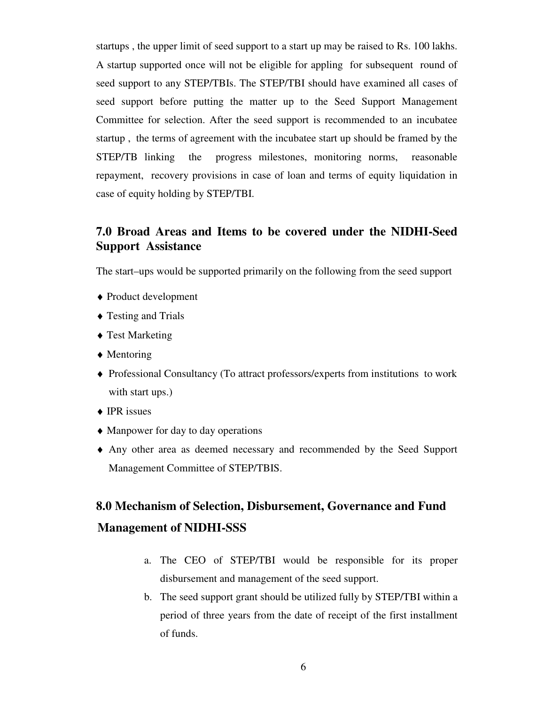startups , the upper limit of seed support to a start up may be raised to Rs. 100 lakhs. A startup supported once will not be eligible for appling for subsequent round of seed support to any STEP/TBIs. The STEP/TBI should have examined all cases of seed support before putting the matter up to the Seed Support Management Committee for selection. After the seed support is recommended to an incubatee startup , the terms of agreement with the incubatee start up should be framed by the STEP/TB linking the progress milestones, monitoring norms, reasonable repayment, recovery provisions in case of loan and terms of equity liquidation in case of equity holding by STEP/TBI.

## **7.0 Broad Areas and Items to be covered under the NIDHI-Seed Support Assistance**

The start–ups would be supported primarily on the following from the seed support

- ♦ Product development
- ♦ Testing and Trials
- ♦ Test Marketing
- ♦ Mentoring
- ♦ Professional Consultancy (To attract professors/experts from institutions to work with start ups.)
- ◆ IPR issues
- ♦ Manpower for day to day operations
- ♦ Any other area as deemed necessary and recommended by the Seed Support Management Committee of STEP/TBIS.

# **8.0 Mechanism of Selection, Disbursement, Governance and Fund Management of NIDHI-SSS**

- a. The CEO of STEP/TBI would be responsible for its proper disbursement and management of the seed support.
- b. The seed support grant should be utilized fully by STEP/TBI within a period of three years from the date of receipt of the first installment of funds.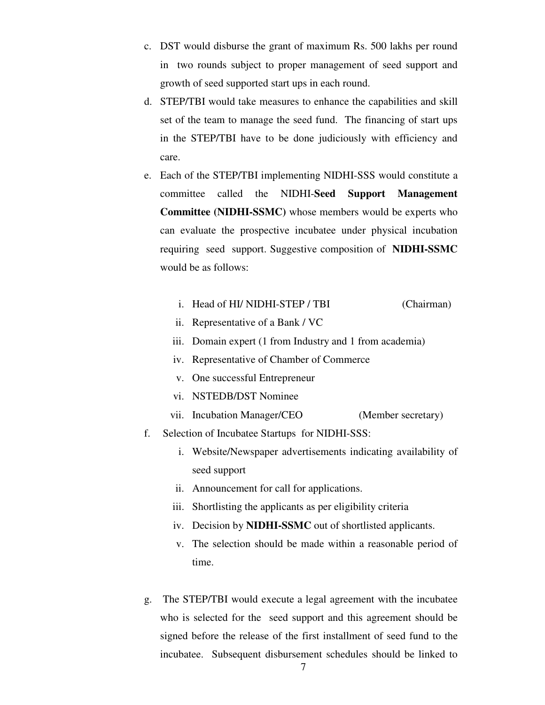- c. DST would disburse the grant of maximum Rs. 500 lakhs per round in two rounds subject to proper management of seed support and growth of seed supported start ups in each round.
- d. STEP/TBI would take measures to enhance the capabilities and skill set of the team to manage the seed fund. The financing of start ups in the STEP/TBI have to be done judiciously with efficiency and care.
- e. Each of the STEP/TBI implementing NIDHI-SSS would constitute a committee called the NIDHI-**Seed Support Management Committee (NIDHI-SSMC)** whose members would be experts who can evaluate the prospective incubatee under physical incubation requiring seed support. Suggestive composition of **NIDHI-SSMC** would be as follows:
	- i. Head of HI/ NIDHI-STEP / TBI (Chairman)
	- ii. Representative of a Bank / VC
	- iii. Domain expert (1 from Industry and 1 from academia)
	- iv. Representative of Chamber of Commerce
	- v. One successful Entrepreneur
	- vi. NSTEDB/DST Nominee
	- vii. Incubation Manager/CEO (Member secretary)
- f. Selection of Incubatee Startups for NIDHI-SSS:
	- i. Website/Newspaper advertisements indicating availability of seed support
	- ii. Announcement for call for applications.
	- iii. Shortlisting the applicants as per eligibility criteria
	- iv. Decision by **NIDHI-SSMC** out of shortlisted applicants.
	- v. The selection should be made within a reasonable period of time.
- g. The STEP/TBI would execute a legal agreement with the incubatee who is selected for the seed support and this agreement should be signed before the release of the first installment of seed fund to the incubatee. Subsequent disbursement schedules should be linked to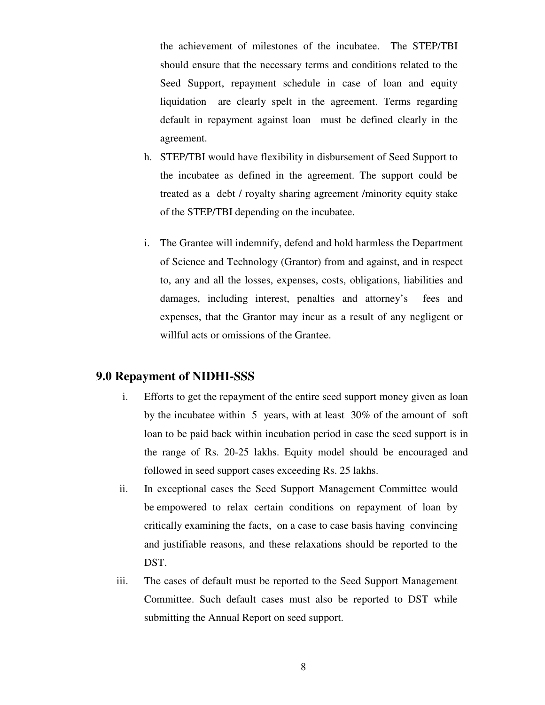the achievement of milestones of the incubatee. The STEP/TBI should ensure that the necessary terms and conditions related to the Seed Support, repayment schedule in case of loan and equity liquidation are clearly spelt in the agreement. Terms regarding default in repayment against loan must be defined clearly in the agreement.

- h. STEP/TBI would have flexibility in disbursement of Seed Support to the incubatee as defined in the agreement. The support could be treated as a debt / royalty sharing agreement /minority equity stake of the STEP/TBI depending on the incubatee.
- i. The Grantee will indemnify, defend and hold harmless the Department of Science and Technology (Grantor) from and against, and in respect to, any and all the losses, expenses, costs, obligations, liabilities and damages, including interest, penalties and attorney's fees and expenses, that the Grantor may incur as a result of any negligent or willful acts or omissions of the Grantee.

#### **9.0 Repayment of NIDHI-SSS**

- i. Efforts to get the repayment of the entire seed support money given as loan by the incubatee within 5 years, with at least 30% of the amount of soft loan to be paid back within incubation period in case the seed support is in the range of Rs. 20-25 lakhs. Equity model should be encouraged and followed in seed support cases exceeding Rs. 25 lakhs.
- ii. In exceptional cases the Seed Support Management Committee would be empowered to relax certain conditions on repayment of loan by critically examining the facts, on a case to case basis having convincing and justifiable reasons, and these relaxations should be reported to the DST.
- iii. The cases of default must be reported to the Seed Support Management Committee. Such default cases must also be reported to DST while submitting the Annual Report on seed support.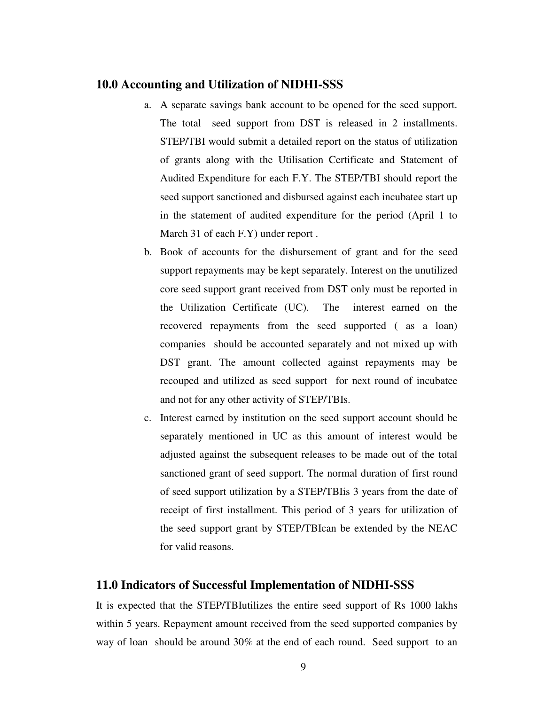### **10.0 Accounting and Utilization of NIDHI-SSS**

- a. A separate savings bank account to be opened for the seed support. The total seed support from DST is released in 2 installments. STEP/TBI would submit a detailed report on the status of utilization of grants along with the Utilisation Certificate and Statement of Audited Expenditure for each F.Y. The STEP/TBI should report the seed support sanctioned and disbursed against each incubatee start up in the statement of audited expenditure for the period (April 1 to March 31 of each F.Y) under report .
- b. Book of accounts for the disbursement of grant and for the seed support repayments may be kept separately. Interest on the unutilized core seed support grant received from DST only must be reported in the Utilization Certificate (UC). The interest earned on the recovered repayments from the seed supported ( as a loan) companies should be accounted separately and not mixed up with DST grant. The amount collected against repayments may be recouped and utilized as seed support for next round of incubatee and not for any other activity of STEP/TBIs.
- c. Interest earned by institution on the seed support account should be separately mentioned in UC as this amount of interest would be adjusted against the subsequent releases to be made out of the total sanctioned grant of seed support. The normal duration of first round of seed support utilization by a STEP/TBIis 3 years from the date of receipt of first installment. This period of 3 years for utilization of the seed support grant by STEP/TBIcan be extended by the NEAC for valid reasons.

#### **11.0 Indicators of Successful Implementation of NIDHI-SSS**

It is expected that the STEP/TBIutilizes the entire seed support of Rs 1000 lakhs within 5 years. Repayment amount received from the seed supported companies by way of loan should be around 30% at the end of each round. Seed support to an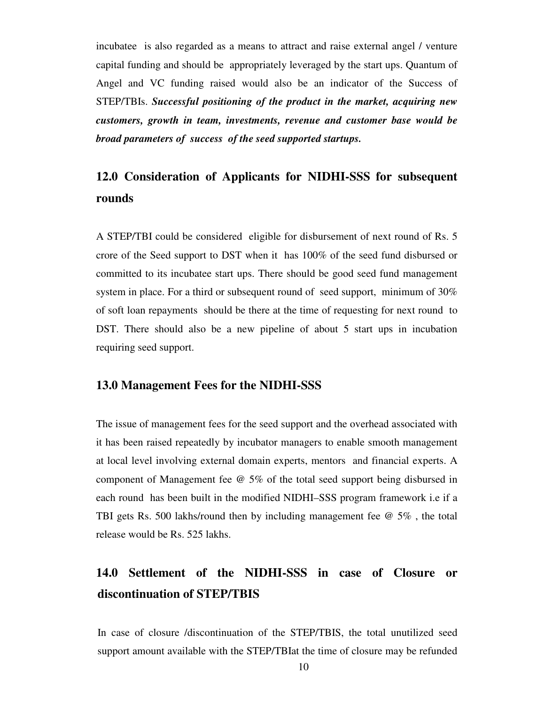incubatee is also regarded as a means to attract and raise external angel / venture capital funding and should be appropriately leveraged by the start ups. Quantum of Angel and VC funding raised would also be an indicator of the Success of STEP/TBIs. *Successful positioning of the product in the market, acquiring new customers, growth in team, investments, revenue and customer base would be broad parameters of success of the seed supported startups.* 

# **12.0 Consideration of Applicants for NIDHI-SSS for subsequent rounds**

A STEP/TBI could be considered eligible for disbursement of next round of Rs. 5 crore of the Seed support to DST when it has 100% of the seed fund disbursed or committed to its incubatee start ups. There should be good seed fund management system in place. For a third or subsequent round of seed support, minimum of 30% of soft loan repayments should be there at the time of requesting for next round to DST. There should also be a new pipeline of about 5 start ups in incubation requiring seed support.

#### **13.0 Management Fees for the NIDHI-SSS**

The issue of management fees for the seed support and the overhead associated with it has been raised repeatedly by incubator managers to enable smooth management at local level involving external domain experts, mentors and financial experts. A component of Management fee @ 5% of the total seed support being disbursed in each round has been built in the modified NIDHI–SSS program framework i.e if a TBI gets Rs. 500 lakhs/round then by including management fee @ 5% , the total release would be Rs. 525 lakhs.

# **14.0 Settlement of the NIDHI-SSS in case of Closure or discontinuation of STEP/TBIS**

In case of closure /discontinuation of the STEP/TBIS, the total unutilized seed support amount available with the STEP/TBIat the time of closure may be refunded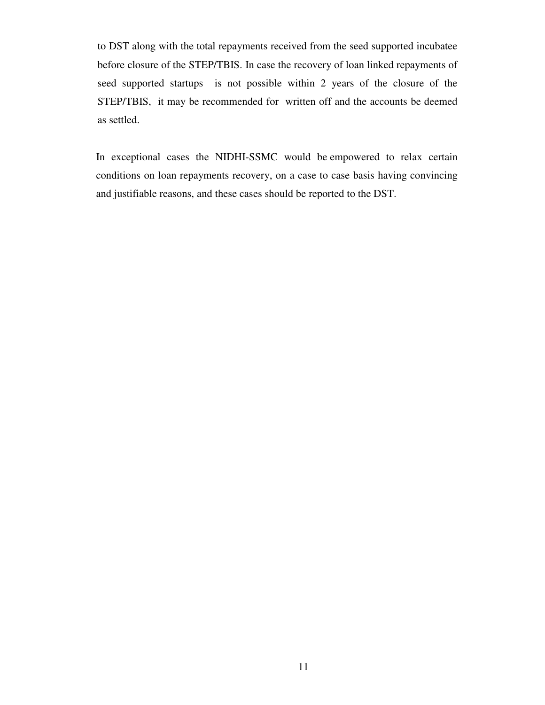to DST along with the total repayments received from the seed supported incubatee before closure of the STEP/TBIS. In case the recovery of loan linked repayments of seed supported startups is not possible within 2 years of the closure of the STEP/TBIS, it may be recommended for written off and the accounts be deemed as settled.

In exceptional cases the NIDHI-SSMC would be empowered to relax certain conditions on loan repayments recovery, on a case to case basis having convincing and justifiable reasons, and these cases should be reported to the DST.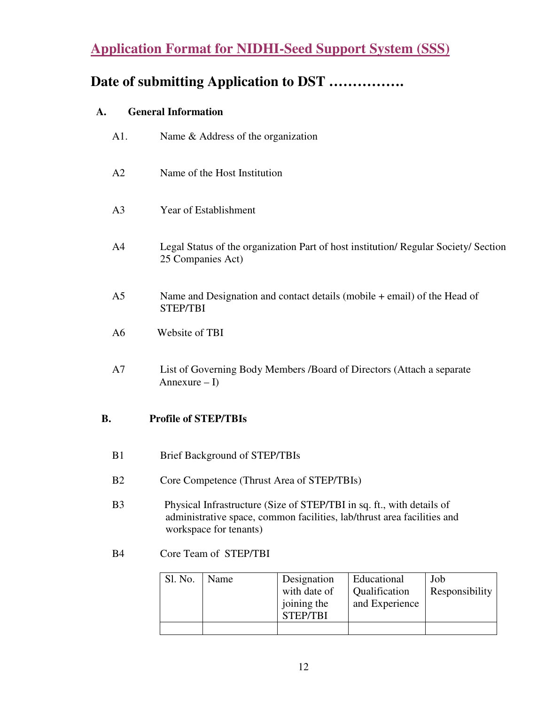# **Application Format for NIDHI-Seed Support System (SSS)**

# **Date of submitting Application to DST …………….**

# **A. General Information**

| A1.            | Name & Address of the organization                                                                                                                                         |
|----------------|----------------------------------------------------------------------------------------------------------------------------------------------------------------------------|
| A2             | Name of the Host Institution                                                                                                                                               |
| A <sub>3</sub> | Year of Establishment                                                                                                                                                      |
| A <sup>4</sup> | Legal Status of the organization Part of host institution/ Regular Society/ Section<br>25 Companies Act)                                                                   |
| A <sub>5</sub> | Name and Designation and contact details (mobile $+$ email) of the Head of<br>STEP/TBI                                                                                     |
| A <sub>6</sub> | Website of TBI                                                                                                                                                             |
| A7             | List of Governing Body Members /Board of Directors (Attach a separate<br>Annexure $-I$ )                                                                                   |
| B.             | <b>Profile of STEP/TBIs</b>                                                                                                                                                |
| B1             | <b>Brief Background of STEP/TBIs</b>                                                                                                                                       |
| B <sub>2</sub> | Core Competence (Thrust Area of STEP/TBIs)                                                                                                                                 |
| B <sub>3</sub> | Physical Infrastructure (Size of STEP/TBI in sq. ft., with details of<br>administrative space, common facilities, lab/thrust area facilities and<br>workspace for tenants) |
| <b>B4</b>      | Core Team of STEP/TBI                                                                                                                                                      |

| Sl. No. | Name | Designation<br>with date of<br>joining the<br><b>STEP/TBI</b> | Educational<br>Qualification<br>and Experience | Job<br>Responsibility |
|---------|------|---------------------------------------------------------------|------------------------------------------------|-----------------------|
|         |      |                                                               |                                                |                       |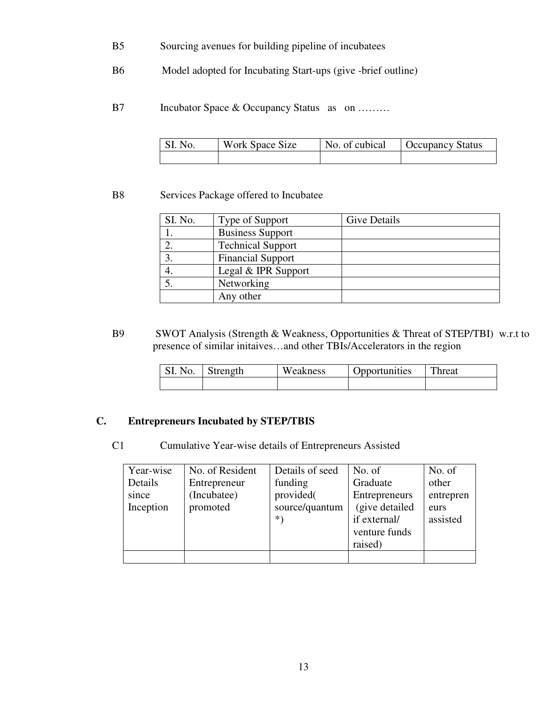- B5 Sourcing avenues for building pipeline of incubatees
- B6 Model adopted for Incubating Start-ups (give -brief outline)
- B7 Incubator Space & Occupancy Status as on ........

| SI. No. | Work Space Size | No. of cubical | <b>Occupancy Status</b> |
|---------|-----------------|----------------|-------------------------|
|         |                 |                |                         |

#### B8 Services Package offered to Incubatee

| SI. No. | Type of Support          | Give Details |
|---------|--------------------------|--------------|
|         | <b>Business Support</b>  |              |
|         | <b>Technical Support</b> |              |
|         | <b>Financial Support</b> |              |
| 4.      | Legal & IPR Support      |              |
|         | Networking               |              |
|         | Any other                |              |

B9 SWOT Analysis (Strength & Weakness, Opportunities & Threat of STEP/TBI) w.r.t to presence of similar initaives…and other TBIs/Accelerators in the region

| SI. No. | Strength | Weakness | Opportunities | Threat |
|---------|----------|----------|---------------|--------|
|         |          |          |               |        |

### **C. Entrepreneurs Incubated by STEP/TBIS**

C1 Cumulative Year-wise details of Entrepreneurs Assisted

| Year-wise | No. of Resident | Details of seed | No. of          | No. of    |
|-----------|-----------------|-----------------|-----------------|-----------|
| Details   | Entrepreneur    | funding         | Graduate        | other     |
| since     | (Incubatee)     | provided(       | Entrepreneurs   | entrepren |
| Inception | promoted        | source/quantum  | (give detailed) | eurs      |
|           |                 | *`              | if external/    | assisted  |
|           |                 |                 | venture funds   |           |
|           |                 |                 | raised)         |           |
|           |                 |                 |                 |           |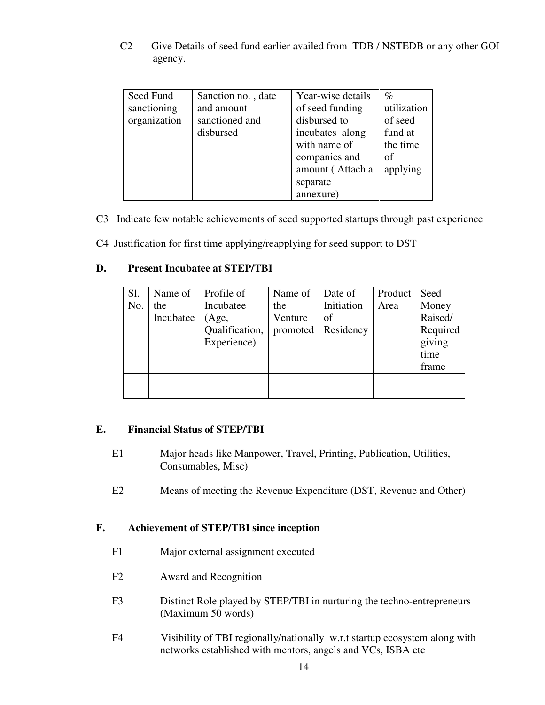C2 Give Details of seed fund earlier availed from TDB / NSTEDB or any other GOI agency.

| Seed Fund    | Sanction no., date | Year-wise details | $\%$        |
|--------------|--------------------|-------------------|-------------|
| sanctioning  | and amount         | of seed funding   | utilization |
| organization | sanctioned and     | disbursed to      | of seed     |
|              | disbursed          | incubates along   | fund at     |
|              |                    | with name of      | the time    |
|              |                    | companies and     | of          |
|              |                    | amount (Attach a  | applying    |
|              |                    | separate          |             |
|              |                    | annexure)         |             |

C3 Indicate few notable achievements of seed supported startups through past experience

C4 Justification for first time applying/reapplying for seed support to DST

#### **D. Present Incubatee at STEP/TBI**

| Sl.<br>No. | Name of<br>the<br>Incubatee | Profile of<br>Incubatee<br>(Age,<br>Qualification,<br>Experience) | Name of<br>the<br>Venture<br>promoted | Date of<br>Initiation<br>of<br>Residency | Product<br>Area | Seed<br>Money<br>Raised/<br>Required<br>giving<br>time<br>frame |
|------------|-----------------------------|-------------------------------------------------------------------|---------------------------------------|------------------------------------------|-----------------|-----------------------------------------------------------------|
|            |                             |                                                                   |                                       |                                          |                 |                                                                 |

#### **E. Financial Status of STEP/TBI**

- E1 Major heads like Manpower, Travel, Printing, Publication, Utilities, Consumables, Misc)
- E2 Means of meeting the Revenue Expenditure (DST, Revenue and Other)

### **F. Achievement of STEP/TBI since inception**

- F1 Major external assignment executed
- F2 Award and Recognition
- F3 Distinct Role played by STEP/TBI in nurturing the techno-entrepreneurs (Maximum 50 words)
- F4 Visibility of TBI regionally/nationally w.r.t startup ecosystem along with networks established with mentors, angels and VCs, ISBA etc